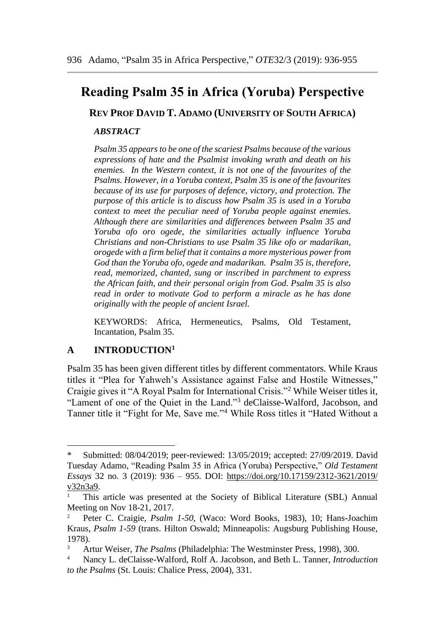# **Reading Psalm 35 in Africa (Yoruba) Perspective**

**REV PROF DAVID T. ADAMO (UNIVERSITY OF SOUTH AFRICA)**

## *ABSTRACT*

*Psalm 35 appears to be one of the scariest Psalms because of the various expressions of hate and the Psalmist invoking wrath and death on his enemies. In the Western context, it is not one of the favourites of the Psalms. However, in a Yoruba context, Psalm 35 is one of the favourites because of its use for purposes of defence, victory, and protection. The purpose of this article is to discuss how Psalm 35 is used in a Yoruba context to meet the peculiar need of Yoruba people against enemies. Although there are similarities and differences between Psalm 35 and Yoruba ofo oro ogede, the similarities actually influence Yoruba Christians and non-Christians to use Psalm 35 like ofo or madarikan, orogede with a firm belief that it contains a more mysterious power from God than the Yoruba ofo, ogede and madarikan. Psalm 35 is, therefore, read, memorized, chanted, sung or inscribed in parchment to express the African faith, and their personal origin from God. Psalm 35 is also read in order to motivate God to perform a miracle as he has done originally with the people of ancient Israel.*

KEYWORDS: Africa, Hermeneutics, Psalms, Old Testament, Incantation, Psalm 35.

# **A INTRODUCTION<sup>1</sup>**

Psalm 35 has been given different titles by different commentators. While Kraus titles it "Plea for Yahweh's Assistance against False and Hostile Witnesses," Craigie gives it "A Royal Psalm for International Crisis."<sup>2</sup> While Weiser titles it, "Lament of one of the Quiet in the Land."<sup>3</sup> deClaisse-Walford, Jacobson, and Tanner title it "Fight for Me, Save me."<sup>4</sup> While Ross titles it "Hated Without a

Submitted: 08/04/2019; peer-reviewed: 13/05/2019; accepted: 27/09/2019. David Tuesday Adamo, "Reading Psalm 35 in Africa (Yoruba) Perspective," *Old Testament Essays* 32 no. 3 (2019): 936 – 955. DOI: [https://doi.org/10.17159/2312-3621/2019/](https://doi.org/10.17159/2312-3621/2019/v32n3a9) [v32n3a9.](https://doi.org/10.17159/2312-3621/2019/v32n3a9)

<sup>1</sup> This article was presented at the Society of Biblical Literature (SBL) Annual Meeting on Nov 18-21, 2017.

<sup>2</sup> Peter C. Craigie, *Psalm 1-50*, (Waco: Word Books, 1983), 10; Hans-Joachim Kraus, *Psalm 1-59* (trans. Hilton Oswald; Minneapolis: Augsburg Publishing House, 1978).

<sup>3</sup> Artur Weiser, *The Psalms* (Philadelphia: The Westminster Press, 1998), 300.

<sup>4</sup> Nancy L. deClaisse-Walford, Rolf A. Jacobson, and Beth L. Tanner, *Introduction to the Psalms* (St. Louis: Chalice Press, 2004), 331.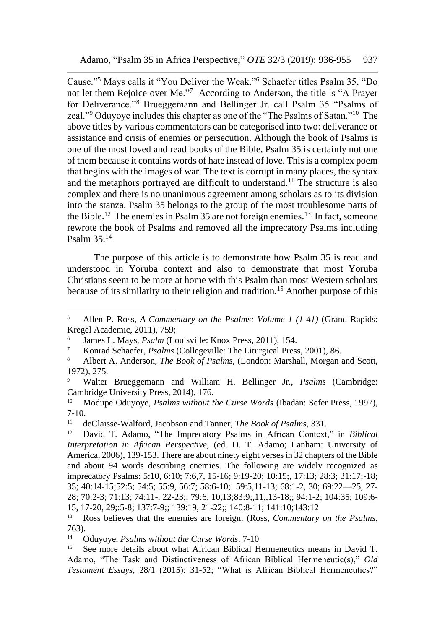Cause."<sup>5</sup> Mays calls it "You Deliver the Weak."<sup>6</sup> Schaefer titles Psalm 35, "Do not let them Rejoice over Me."<sup>7</sup> According to Anderson, the title is "A Prayer for Deliverance."<sup>8</sup> Brueggemann and Bellinger Jr. call Psalm 35 "Psalms of zeal."<sup>9</sup> Oduyoye includes this chapter as one of the "The Psalms of Satan."<sup>10</sup> The above titles by various commentators can be categorised into two: deliverance or assistance and crisis of enemies or persecution. Although the book of Psalms is one of the most loved and read books of the Bible, Psalm 35 is certainly not one of them because it contains words of hate instead of love. This is a complex poem that begins with the images of war. The text is corrupt in many places, the syntax and the metaphors portrayed are difficult to understand.<sup>11</sup> The structure is also complex and there is no unanimous agreement among scholars as to its division into the stanza. Psalm 35 belongs to the group of the most troublesome parts of the Bible.<sup>12</sup> The enemies in Psalm 35 are not foreign enemies.<sup>13</sup> In fact, someone rewrote the book of Psalms and removed all the imprecatory Psalms including Psalm 35.<sup>14</sup>

The purpose of this article is to demonstrate how Psalm 35 is read and understood in Yoruba context and also to demonstrate that most Yoruba Christians seem to be more at home with this Psalm than most Western scholars because of its similarity to their religion and tradition.<sup>15</sup> Another purpose of this

<sup>5</sup> Allen P. Ross, *A Commentary on the Psalms: Volume 1 (1-41)* (Grand Rapids: Kregel Academic, 2011), 759;

<sup>6</sup> James L. Mays, *Psalm* (Louisville: Knox Press, 2011), 154.

<sup>7</sup> Konrad Schaefer, *Psalms* (Collegeville: The Liturgical Press, 2001), 86.

<sup>8</sup> Albert A. Anderson, *The Book of Psalms*, (London: Marshall, Morgan and Scott, 1972), 275.

<sup>9</sup> Walter Brueggemann and William H. Bellinger Jr., *Psalms* (Cambridge: Cambridge University Press, 2014), 176.

<sup>&</sup>lt;sup>10</sup> Modupe Oduyoye, *Psalms without the Curse Words* (Ibadan: Sefer Press, 1997), 7-10.

<sup>11</sup> deClaisse-Walford, Jacobson and Tanner, *The Book of Psalms*, 331.

<sup>12</sup> David T. Adamo, "The Imprecatory Psalms in African Context," in *Biblical Interpretation in African Perspective,* (ed. D. T. Adamo; Lanham: University of America, 2006), 139-153. There are about ninety eight verses in 32 chapters of the Bible and about 94 words describing enemies. The following are widely recognized as imprecatory Psalms: 5:10, 6:10; 7:6,7, 15-16; 9:19-20; 10:15;, 17:13; 28:3; 31:17;-18; 35; 40:14-15;52:5; 54:5; 55:9, 56:7; 58:6-10; 59:5,11-13; 68:1-2, 30; 69:22—25, 27- 28; 70:2-3; 71:13; 74:11-, 22-23;; 79:6, 10,13;83:9;,11,,13-18;; 94:1-2; 104:35; 109:6- 15, 17-20, 29;:5-8; 137:7-9;; 139:19, 21-22;; 140:8-11; 141:10;143:12

<sup>13</sup> Ross believes that the enemies are foreign, (Ross, *Commentary on the Psalms*, 763).

<sup>14</sup> Oduyoye, *Psalms without the Curse Words*. 7-10

<sup>&</sup>lt;sup>15</sup> See more details about what African Biblical Hermeneutics means in David T. Adamo, "The Task and Distinctiveness of African Biblical Hermeneutic(s)," *Old Testament Essays*, 28/1 (2015): 31-52; "What is African Biblical Hermeneutics?"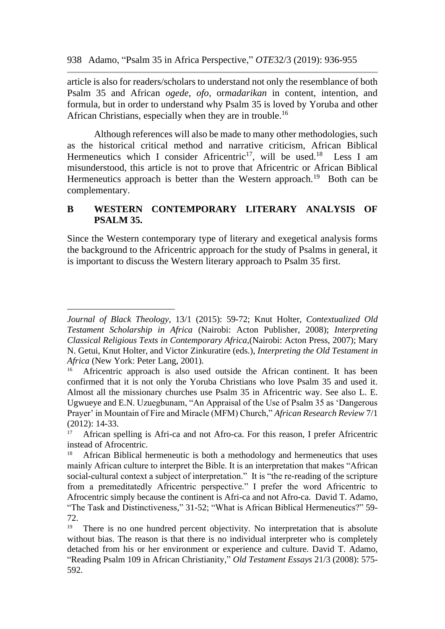article is also for readers/scholars to understand not only the resemblance of both Psalm 35 and African *ogede, ofo,* or*madarikan* in content, intention, and formula, but in order to understand why Psalm 35 is loved by Yoruba and other African Christians, especially when they are in trouble.<sup>16</sup>

Although references will also be made to many other methodologies, such as the historical critical method and narrative criticism, African Biblical Hermeneutics which I consider Africentric<sup>17</sup>, will be used.<sup>18</sup> Less I am misunderstood, this article is not to prove that Africentric or African Biblical Hermeneutics approach is better than the Western approach.<sup>19</sup> Both can be complementary.

# **B WESTERN CONTEMPORARY LITERARY ANALYSIS OF PSALM 35.**

Since the Western contemporary type of literary and exegetical analysis forms the background to the Africentric approach for the study of Psalms in general, it is important to discuss the Western literary approach to Psalm 35 first.

*Journal of Black Theology,* 13/1 (2015): 59-72; Knut Holter, *Contextualized Old Testament Scholarship in Africa* (Nairobi: Acton Publisher, 2008); *Interpreting Classical Religious Texts in Contemporary Africa,*(Nairobi: Acton Press, 2007); Mary N. Getui, Knut Holter, and Victor Zinkuratire (eds.), *Interpreting the Old Testament in Africa* (New York: Peter Lang, 2001).

Africentric approach is also used outside the African continent. It has been confirmed that it is not only the Yoruba Christians who love Psalm 35 and used it. Almost all the missionary churches use Psalm 35 in Africentric way. See also L. E. Ugwueye and E.N. Uzuegbunam, "An Appraisal of the Use of Psalm 35 as 'Dangerous Prayer' in Mountain of Fire and Miracle (MFM) Church," *African Research Review* 7/1 (2012): 14-33.

<sup>&</sup>lt;sup>17</sup> African spelling is Afri-ca and not Afro-ca. For this reason, I prefer Africentric instead of Afrocentric.

<sup>18</sup> African Biblical hermeneutic is both a methodology and hermeneutics that uses mainly African culture to interpret the Bible. It is an interpretation that makes "African social-cultural context a subject of interpretation." It is "the re-reading of the scripture from a premeditatedly Africentric perspective." I prefer the word Africentric to Afrocentric simply because the continent is Afri-ca and not Afro-ca. David T. Adamo, "The Task and Distinctiveness," 31-52; "What is African Biblical Hermeneutics?" 59- 72.

<sup>&</sup>lt;sup>19</sup> There is no one hundred percent objectivity. No interpretation that is absolute without bias. The reason is that there is no individual interpreter who is completely detached from his or her environment or experience and culture. David T. Adamo, "Reading Psalm 109 in African Christianity," *Old Testament Essays* 21/3 (2008): 575- 592.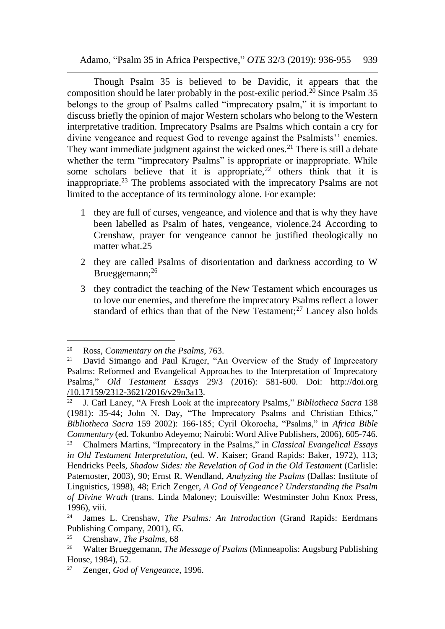Though Psalm 35 is believed to be Davidic, it appears that the composition should be later probably in the post-exilic period.<sup>20</sup> Since Psalm 35 belongs to the group of Psalms called "imprecatory psalm," it is important to discuss briefly the opinion of major Western scholars who belong to the Western interpretative tradition. Imprecatory Psalms are Psalms which contain a cry for divine vengeance and request God to revenge against the Psalmists'' enemies. They want immediate judgment against the wicked ones.<sup>21</sup> There is still a debate whether the term "imprecatory Psalms" is appropriate or inappropriate. While some scholars believe that it is appropriate,  $2^2$  others think that it is inappropriate.<sup>23</sup> The problems associated with the imprecatory Psalms are not limited to the acceptance of its terminology alone. For example:

- 1 they are full of curses, vengeance, and violence and that is why they have been labelled as Psalm of hates, vengeance, violence.24 According to Crenshaw, prayer for vengeance cannot be justified theologically no matter what.25
- 2 they are called Psalms of disorientation and darkness according to W Brueggemann;<sup>26</sup>
- 3 they contradict the teaching of the New Testament which encourages us to love our enemies, and therefore the imprecatory Psalms reflect a lower standard of ethics than that of the New Testament: $27$  Lancey also holds

<sup>20</sup> Ross, *Commentary on the Psalms*, 763.

<sup>&</sup>lt;sup>21</sup> David Simango and Paul Kruger, "An Overview of the Study of Imprecatory Psalms: Reformed and Evangelical Approaches to the Interpretation of Imprecatory Psalms," *Old Testament Essays* 29/3 (2016): 581-600. Doi: http://doi.org /10.17159/2312-3621/2016/v29n3a13.

<sup>22</sup> J. Carl Laney, "A Fresh Look at the imprecatory Psalms," *Bibliotheca Sacra* 138 (1981): 35-44; John N. Day, "The Imprecatory Psalms and Christian Ethics," *Bibliotheca Sacra* 159 2002): 166-185; Cyril Okorocha, "Psalms," in *Africa Bible Commentary* (ed. Tokunbo Adeyemo; Nairobi: Word Alive Publishers, 2006), 605-746. <sup>23</sup> Chalmers Martins, "Imprecatory in the Psalms," in *Classical Evangelical Essays in Old Testament Interpretation*, (ed. W. Kaiser; Grand Rapids: Baker, 1972), 113; Hendricks Peels, *Shadow Sides: the Revelation of God in the Old Testamen*t (Carlisle: Paternoster, 2003), 90; Ernst R. Wendland, *Analyzing the Psalms* (Dallas: Institute of Linguistics, 1998), 48; Erich Zenger, *A God of Vengeance? Understanding the Psalm of Divine Wrath* (trans. Linda Maloney; Louisville: Westminster John Knox Press, 1996), viii.

<sup>24</sup> James L. Crenshaw, *The Psalms: An Introduction* (Grand Rapids: Eerdmans Publishing Company, 2001), 65.

<sup>25</sup> Crenshaw, *The Psalms*, 68

<sup>26</sup> Walter Brueggemann, *The Message of Psalms* (Minneapolis: Augsburg Publishing House, 1984), 52.

<sup>27</sup> Zenger, *God of Vengeance*, 1996.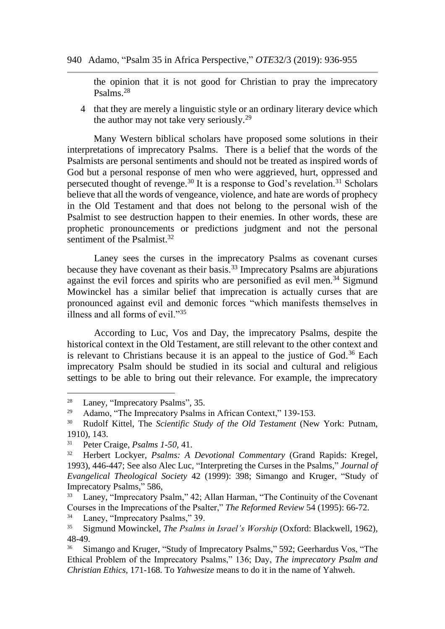the opinion that it is not good for Christian to pray the imprecatory Psalms.<sup>28</sup>

4 that they are merely a linguistic style or an ordinary literary device which the author may not take very seriously.<sup>29</sup>

Many Western biblical scholars have proposed some solutions in their interpretations of imprecatory Psalms. There is a belief that the words of the Psalmists are personal sentiments and should not be treated as inspired words of God but a personal response of men who were aggrieved, hurt, oppressed and persecuted thought of revenge.<sup>30</sup> It is a response to God's revelation.<sup>31</sup> Scholars believe that all the words of vengeance, violence, and hate are words of prophecy in the Old Testament and that does not belong to the personal wish of the Psalmist to see destruction happen to their enemies. In other words, these are prophetic pronouncements or predictions judgment and not the personal sentiment of the Psalmist.<sup>32</sup>

Laney sees the curses in the imprecatory Psalms as covenant curses because they have covenant as their basis.<sup>33</sup> Imprecatory Psalms are abjurations against the evil forces and spirits who are personified as evil men.<sup>34</sup> Sigmund Mowinckel has a similar belief that imprecation is actually curses that are pronounced against evil and demonic forces "which manifests themselves in illness and all forms of evil."<sup>35</sup>

According to Luc, Vos and Day, the imprecatory Psalms, despite the historical context in the Old Testament, are still relevant to the other context and is relevant to Christians because it is an appeal to the justice of God.<sup>36</sup> Each imprecatory Psalm should be studied in its social and cultural and religious settings to be able to bring out their relevance. For example, the imprecatory

 $\frac{34}{35}$  Laney, "Imprecatory Psalms," 39.<br>Sigmund Mowingkel *The Psalms* 

<sup>28</sup> Laney, "Imprecatory Psalms", 35.

<sup>&</sup>lt;sup>29</sup> Adamo, "The Imprecatory Psalms in African Context," 139-153.

<sup>30</sup> Rudolf Kittel, The *Scientific Study of the Old Testament* (New York: Putnam, 1910), 143.

<sup>31</sup> Peter Craige, *Psalms 1-50*, 41.

<sup>32</sup> Herbert Lockyer, *Psalms: A Devotional Commentary* (Grand Rapids: Kregel, 1993), 446-447; See also Alec Luc, "Interpreting the Curses in the Psalms," *Journal of Evangelical Theological Society* 42 (1999): 398; Simango and Kruger, "Study of Imprecatory Psalms," 586,

<sup>&</sup>lt;sup>33</sup> Laney, "Imprecatory Psalm," 42; Allan Harman, "The Continuity of the Covenant Courses in the Imprecations of the Psalter," *The Reformed Review* 54 (1995): 66-72.

<sup>35</sup> Sigmund Mowinckel, *The Psalms in Israel's Worship* (Oxford: Blackwell, 1962), 48-49.

<sup>&</sup>lt;sup>36</sup> Simango and Kruger, "Study of Imprecatory Psalms," 592; Geerhardus Vos, "The Ethical Problem of the Imprecatory Psalms," 136; Day, *The imprecatory Psalm and Christian Ethics,* 171-168. To *Yahwesize* means to do it in the name of Yahweh.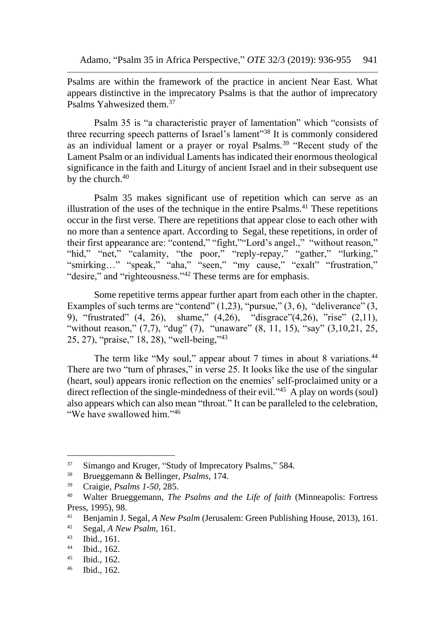Psalms are within the framework of the practice in ancient Near East. What appears distinctive in the imprecatory Psalms is that the author of imprecatory Psalms Yahwesized them.<sup>37</sup>

Psalm 35 is "a characteristic prayer of lamentation" which "consists of three recurring speech patterns of Israel's lament"<sup>38</sup> It is commonly considered as an individual lament or a prayer or royal Psalms.<sup>39</sup> "Recent study of the Lament Psalm or an individual Laments has indicated their enormous theological significance in the faith and Liturgy of ancient Israel and in their subsequent use by the church.<sup>40</sup>

Psalm 35 makes significant use of repetition which can serve as an illustration of the uses of the technique in the entire  $\text{Psalms}^{41}$ . These repetitions occur in the first verse. There are repetitions that appear close to each other with no more than a sentence apart. According to Segal, these repetitions, in order of their first appearance are: "contend," "fight,""Lord's angel.," "without reason," "hid," "net," "calamity, "the poor," "reply-repay," "gather," "lurking," "smirking…" "speak," "aha," "seen," "my cause," "exalt" "frustration," "desire," and "righteousness."<sup>42</sup> These terms are for emphasis.

Some repetitive terms appear further apart from each other in the chapter. Examples of such terms are "contend"  $(1,23)$ , "pursue,"  $(3, 6)$ , "deliverance"  $(3, 6)$ 9), "frustrated" (4, 26), shame," (4,26), "disgrace"(4,26), "rise" (2,11), "without reason,"  $(7,7)$ , "dug"  $(7)$ , "unaware"  $(8, 11, 15)$ , "say"  $(3,10,21, 25,$ 25, 27), "praise," 18, 28), "well-being,"<sup>43</sup>

The term like "My soul," appear about 7 times in about 8 variations.<sup>44</sup> There are two "turn of phrases," in verse 25. It looks like the use of the singular (heart, soul) appears ironic reflection on the enemies' self-proclaimed unity or a direct reflection of the single-mindedness of their evil."<sup>45</sup> A play on words (soul) also appears which can also mean "throat." It can be paralleled to the celebration, "We have swallowed him."<sup>46</sup>

<sup>&</sup>lt;sup>37</sup> Simango and Kruger, "Study of Imprecatory Psalms," 584.

<sup>38</sup> Brueggemann & Bellinger, *Psalms*, 174.

<sup>39</sup> Craigie, *Psalms 1-50*, 285.

<sup>40</sup> Walter Brueggemann, *The Psalms and the Life of faith* (Minneapolis: Fortress Press, 1995), 98.

<sup>&</sup>lt;sup>41</sup> Benjamin J. Segal, *A New Psalm* (Jerusalem: Green Publishing House, 2013), 161.<br><sup>42</sup> Segal, *A New Psalm* 161

Segal, *A New Psalm*, 161.

 $43$  Ibid., 161.

<sup>44</sup> Ibid., 162.

<sup>45</sup> Ibid., 162.

<sup>46</sup> Ibid., 162.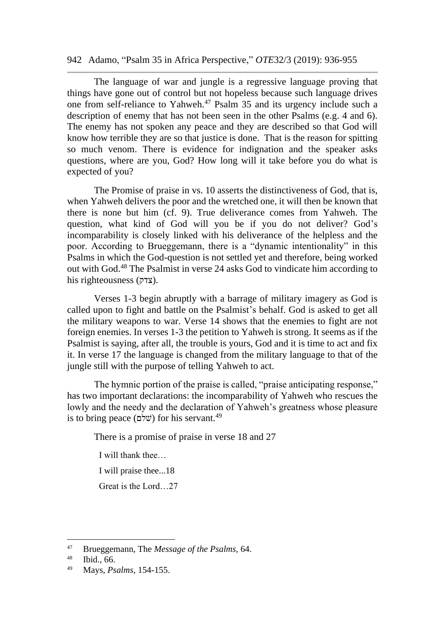The language of war and jungle is a regressive language proving that things have gone out of control but not hopeless because such language drives one from self-reliance to Yahweh.<sup>47</sup> Psalm 35 and its urgency include such a description of enemy that has not been seen in the other Psalms (e.g. 4 and 6). The enemy has not spoken any peace and they are described so that God will know how terrible they are so that justice is done. That is the reason for spitting so much venom. There is evidence for indignation and the speaker asks questions, where are you, God? How long will it take before you do what is expected of you?

The Promise of praise in vs. 10 asserts the distinctiveness of God, that is, when Yahweh delivers the poor and the wretched one, it will then be known that there is none but him (cf. 9). True deliverance comes from Yahweh. The question, what kind of God will you be if you do not deliver? God's incomparability is closely linked with his deliverance of the helpless and the poor. According to Brueggemann, there is a "dynamic intentionality" in this Psalms in which the God-question is not settled yet and therefore, being worked out with God.<sup>48</sup> The Psalmist in verse 24 asks God to vindicate him according to his righteousness (צדק(.

Verses 1-3 begin abruptly with a barrage of military imagery as God is called upon to fight and battle on the Psalmist's behalf. God is asked to get all the military weapons to war. Verse 14 shows that the enemies to fight are not foreign enemies. In verses 1-3 the petition to Yahweh is strong. It seems as if the Psalmist is saying, after all, the trouble is yours, God and it is time to act and fix it. In verse 17 the language is changed from the military language to that of the jungle still with the purpose of telling Yahweh to act.

The hymnic portion of the praise is called, "praise anticipating response," has two important declarations: the incomparability of Yahweh who rescues the lowly and the needy and the declaration of Yahweh's greatness whose pleasure is to bring peace (שׁלֹם) for his servant.<sup>49</sup>

There is a promise of praise in verse 18 and 27

I will thank thee…

I will praise thee...18

Great is the Lord…27

<sup>47</sup> Brueggemann, The *Message of the Psalms,* 64.

<sup>48</sup> Ibid., 66.

<sup>49</sup> Mays, *Psalms*, 154-155.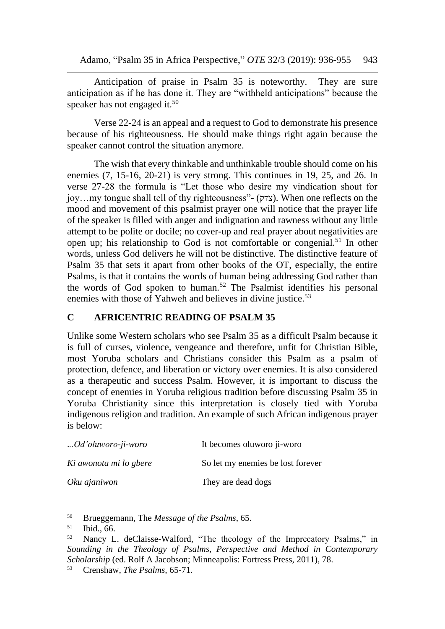Anticipation of praise in Psalm 35 is noteworthy. They are sure anticipation as if he has done it. They are "withheld anticipations" because the speaker has not engaged it.<sup>50</sup>

Verse 22-24 is an appeal and a request to God to demonstrate his presence because of his righteousness. He should make things right again because the speaker cannot control the situation anymore.

The wish that every thinkable and unthinkable trouble should come on his enemies (7, 15-16, 20-21) is very strong. This continues in 19, 25, and 26. In verse 27-28 the formula is "Let those who desire my vindication shout for joy…my tongue shall tell of thy righteousness"- (צדק). When one reflects on the mood and movement of this psalmist prayer one will notice that the prayer life of the speaker is filled with anger and indignation and rawness without any little attempt to be polite or docile; no cover-up and real prayer about negativities are open up; his relationship to God is not comfortable or congenial.<sup>51</sup> In other words, unless God delivers he will not be distinctive. The distinctive feature of Psalm 35 that sets it apart from other books of the OT, especially, the entire Psalms, is that it contains the words of human being addressing God rather than the words of God spoken to human.<sup>52</sup> The Psalmist identifies his personal enemies with those of Yahweh and believes in divine justice.<sup>53</sup>

## **C AFRICENTRIC READING OF PSALM 35**

Unlike some Western scholars who see Psalm 35 as a difficult Psalm because it is full of curses, violence, vengeance and therefore, unfit for Christian Bible, most Yoruba scholars and Christians consider this Psalm as a psalm of protection, defence, and liberation or victory over enemies. It is also considered as a therapeutic and success Psalm. However, it is important to discuss the concept of enemies in Yoruba religious tradition before discussing Psalm 35 in Yoruba Christianity since this interpretation is closely tied with Yoruba indigenous religion and tradition. An example of such African indigenous prayer is below:

| Od'oluworo-ji-woro     | It becomes oluworo ji-woro        |
|------------------------|-----------------------------------|
| Ki awonota mi lo gbere | So let my enemies be lost forever |
| Oku ajaniwon           | They are dead dogs                |

<sup>&</sup>lt;sup>50</sup> Brueggemann, The *Message of the Psalms*, 65.<br><sup>51</sup> Ibid. 66

<sup>51</sup> Ibid., 66.

<sup>52</sup> Nancy L. deClaisse-Walford, "The theology of the Imprecatory Psalms," in *Sounding in the Theology of Psalms, Perspective and Method in Contemporary Scholarship* (ed. Rolf A Jacobson; Minneapolis: Fortress Press, 2011), 78.

<sup>53</sup> Crenshaw, *The Psalms,* 65-71.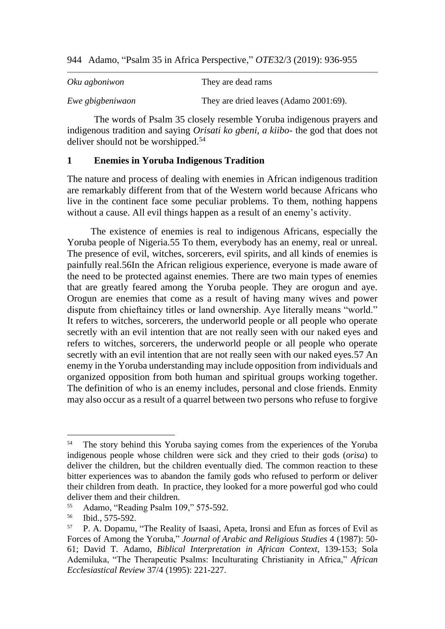| Oku agboniwon    | They are dead rams                     |
|------------------|----------------------------------------|
| Ewe gbigbeniwaon | They are dried leaves (Adamo 2001:69). |

The words of Psalm 35 closely resemble Yoruba indigenous prayers and indigenous tradition and saying *Orisati ko gbeni, a kiibo*- the god that does not deliver should not be worshipped.<sup>54</sup>

#### **1 Enemies in Yoruba Indigenous Tradition**

The nature and process of dealing with enemies in African indigenous tradition are remarkably different from that of the Western world because Africans who live in the continent face some peculiar problems. To them, nothing happens without a cause. All evil things happen as a result of an enemy's activity.

The existence of enemies is real to indigenous Africans, especially the Yoruba people of Nigeria.55 To them, everybody has an enemy, real or unreal. The presence of evil, witches, sorcerers, evil spirits, and all kinds of enemies is painfully real.56In the African religious experience, everyone is made aware of the need to be protected against enemies. There are two main types of enemies that are greatly feared among the Yoruba people. They are orogun and aye. Orogun are enemies that come as a result of having many wives and power dispute from chieftaincy titles or land ownership. Aye literally means "world." It refers to witches, sorcerers, the underworld people or all people who operate secretly with an evil intention that are not really seen with our naked eyes and refers to witches, sorcerers, the underworld people or all people who operate secretly with an evil intention that are not really seen with our naked eyes.57 An enemy in the Yoruba understanding may include opposition from individuals and organized opposition from both human and spiritual groups working together. The definition of who is an enemy includes, personal and close friends. Enmity may also occur as a result of a quarrel between two persons who refuse to forgive

<sup>&</sup>lt;sup>54</sup> The story behind this Yoruba saying comes from the experiences of the Yoruba indigenous people whose children were sick and they cried to their gods (*orisa*) to deliver the children, but the children eventually died. The common reaction to these bitter experiences was to abandon the family gods who refused to perform or deliver their children from death. In practice, they looked for a more powerful god who could deliver them and their children.

<sup>55</sup> Adamo, "Reading Psalm 109," 575-592.

 $^{56}$  Ibid., 575-592.

<sup>57</sup> P. A. Dopamu, "The Reality of Isaasi, Apeta, Ironsi and Efun as forces of Evil as Forces of Among the Yoruba," *Journal of Arabic and Religious Studies* 4 (1987): 50- 61; David T. Adamo, *Biblical Interpretation in African Context*, 139-153; Sola Ademiluka, "The Therapeutic Psalms: Inculturating Christianity in Africa," *African Ecclesiastical Review* 37/4 (1995): 221-227.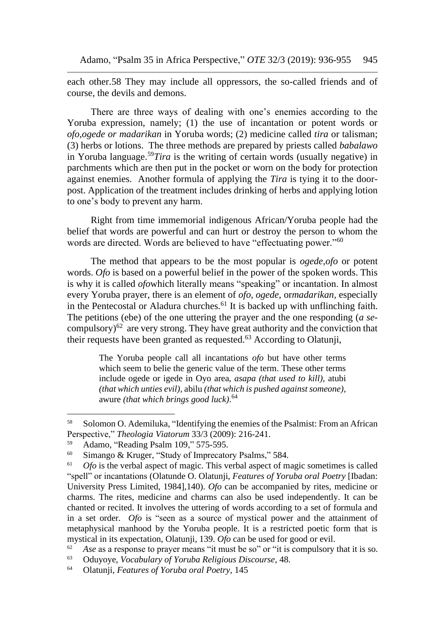each other.58 They may include all oppressors, the so-called friends and of course, the devils and demons.

There are three ways of dealing with one's enemies according to the Yoruba expression, namely; (1) the use of incantation or potent words or *ofo,ogede or madarikan* in Yoruba words; (2) medicine called *tira* or talisman; (3) herbs or lotions. The three methods are prepared by priests called *babalawo* in Yoruba language.<sup>59</sup>*Tira* is the writing of certain words (usually negative) in parchments which are then put in the pocket or worn on the body for protection against enemies. Another formula of applying the *Tira* is tying it to the doorpost. Application of the treatment includes drinking of herbs and applying lotion to one's body to prevent any harm.

Right from time immemorial indigenous African/Yoruba people had the belief that words are powerful and can hurt or destroy the person to whom the words are directed. Words are believed to have "effectuating power."<sup>60</sup>

The method that appears to be the most popular is *ogede,ofo* or potent words. *Ofo* is based on a powerful belief in the power of the spoken words. This is why it is called *ofo*which literally means "speaking" or incantation. In almost every Yoruba prayer, there is an element of *ofo, ogede,* or*madarikan,* especially in the Pentecostal or Aladura churches*.* <sup>61</sup> It is backed up with unflinching faith. The petitions (ebe) of the one uttering the prayer and the one responding (*a se*compulsory) $62$  are very strong. They have great authority and the conviction that their requests have been granted as requested.<sup>63</sup> According to Olatunji,

> The Yoruba people call all incantations *ofo* but have other terms which seem to belie the generic value of the term. These other terms include ogede or igede in Oyo area, *asapa (that used to kill),* atubi *(that which unties evil),* abilu *(that which is pushed against someone),*  awure *(that which brings good luck)*. 64

<sup>58</sup> Solomon O. Ademiluka, "Identifying the enemies of the Psalmist: From an African Perspective," *Theologia Viatorum* 33/3 (2009): 216-241.

 $^{59}$  Adamo, "Reading Psalm 109," 575-595.<br> $^{60}$  Simango & Kruger "Study of Imprecator"

Simango & Kruger, "Study of Imprecatory Psalms," 584.

<sup>&</sup>lt;sup>61</sup> *Ofo* is the verbal aspect of magic. This verbal aspect of magic sometimes is called "spell" or incantations (Olatunde O. Olatunji, *Features of Yoruba oral Poetry* [Ibadan: University Press Limited, 1984],140). *Ofo* can be accompanied by rites, medicine or charms. The rites, medicine and charms can also be used independently. It can be chanted or recited. It involves the uttering of words according to a set of formula and in a set order. *Ofo* is "seen as a source of mystical power and the attainment of metaphysical manhood by the Yoruba people. It is a restricted poetic form that is mystical in its expectation, Olatunji, 139. *Ofo* can be used for good or evil.

<sup>&</sup>lt;sup>62</sup> Ase as a response to prayer means "it must be so" or "it is compulsory that it is so.

<sup>63</sup> Oduyoye, *Vocabulary of Yoruba Religious Discourse*, 48.

<sup>64</sup> Olatunji, *Features of Yoruba oral Poetry,* 145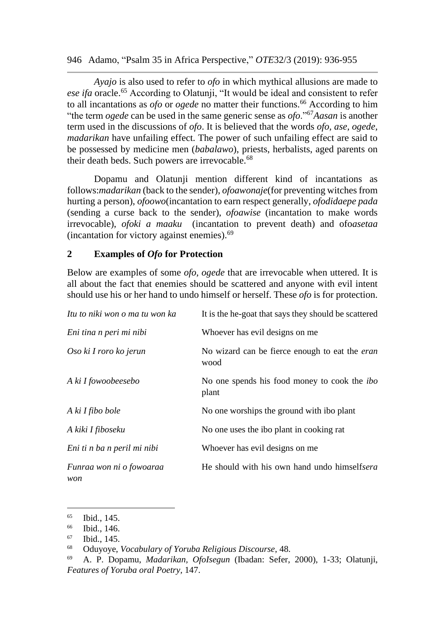*Ayajo* is also used to refer to *ofo* in which mythical allusions are made to *ese ifa* oracle.<sup>65</sup> According to Olatunji, "It would be ideal and consistent to refer to all incantations as *ofo* or *ogede* no matter their functions.<sup>66</sup> According to him "the term *ogede* can be used in the same generic sense as *ofo*."<sup>67</sup>*Aasan* is another term used in the discussions of *ofo*. It is believed that the words *ofo, ase, ogede, madarikan* have unfailing effect. The power of such unfailing effect are said to be possessed by medicine men (*babalawo*), priests, herbalists, aged parents on their death beds. Such powers are irrevocable.<sup>68</sup>

Dopamu and Olatunji mention different kind of incantations as follows:*madarikan* (back to the sender), *ofoawonaje*(for preventing witches from hurting a person), *ofoowo*(incantation to earn respect generally, *ofodidaepe pada* (sending a curse back to the sender), *ofoawise* (incantation to make words irrevocable), *ofoki a maaku* (incantation to prevent death) and ofo*asetaa* (incantation for victory against enemies).<sup>69</sup>

#### **2 Examples of** *Ofo* **for Protection**

Below are examples of some *ofo, ogede* that are irrevocable when uttered. It is all about the fact that enemies should be scattered and anyone with evil intent should use his or her hand to undo himself or herself. These *ofo* is for protection.

| Itu to niki won o ma tu won ka  | It is the he-goat that says they should be scattered          |
|---------------------------------|---------------------------------------------------------------|
| Eni tina n peri mi nibi         | Whoever has evil designs on me                                |
| Oso ki I roro ko jerun          | No wizard can be fierce enough to eat the <i>eran</i><br>wood |
| A ki I fowoobeesebo             | No one spends his food money to cook the <i>ibo</i><br>plant  |
| A ki I fibo bole                | No one worships the ground with ibo plant                     |
| A kiki I fiboseku               | No one uses the ibo plant in cooking rat                      |
| Eni ti n ba n peril mi nibi     | Whoever has evil designs on me                                |
| Funraa won ni o fowoaraa<br>won | He should with his own hand undo himselfsera                  |

 $\begin{array}{c} 65 \\ 66 \end{array}$  Ibid., 145.

Ibid., 146.

<sup>67</sup> Ibid., 145.

<sup>68</sup> Oduyoye, *Vocabulary of Yoruba Religious Discourse*, 48.

<sup>69</sup> A. P. Dopamu, *Madarikan, OfoIsegun* (Ibadan: Sefer, 2000), 1-33; Olatunji, *Features of Yoruba oral Poetry,* 147.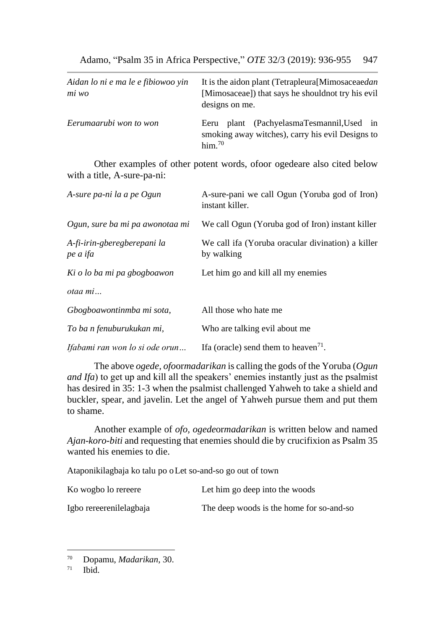| Aidan lo ni e ma le e fibiowoo yin<br>mi wo | It is the aidon plant (Tetrapleura [Mimosaceaedan]<br>[Mimosaceae]) that says he should not try his evil<br>designs on me. |
|---------------------------------------------|----------------------------------------------------------------------------------------------------------------------------|
| Eerumaarubi won to won                      | plant (PachyelasmaTesmannil, Used in<br>Eeru<br>smoking away witches), carry his evil Designs to<br>$\lim$ <sup>70</sup>   |

Other examples of other potent words, ofoor ogedeare also cited below with a title, A-sure-pa-ni:

| A-sure pa-ni la a pe Ogun               | A-sure-pani we call Ogun (Yoruba god of Iron)<br>instant killer. |
|-----------------------------------------|------------------------------------------------------------------|
| Ogun, sure ba mi pa awonotaa mi         | We call Ogun (Yoruba god of Iron) instant killer                 |
| A-fi-irin-gberegberepani la<br>pe a ifa | We call ifa (Yoruba oracular divination) a killer<br>by walking  |
| Ki o lo ba mi pa gbogboawon             | Let him go and kill all my enemies                               |
| otaa mi                                 |                                                                  |
| Gbogboawontinmba mi sota,               | All those who hate me                                            |
| To ba n fenuburukukan mi,               | Who are talking evil about me                                    |
| Ifabami ran won lo si ode orun          | If a (oracle) send them to heaven <sup>71</sup> .                |

The above *ogede, ofo*or*madarikan* is calling the gods of the Yoruba (*Ogun and Ifa*) to get up and kill all the speakers' enemies instantly just as the psalmist has desired in 35: 1-3 when the psalmist challenged Yahweh to take a shield and buckler, spear, and javelin. Let the angel of Yahweh pursue them and put them to shame.

Another example of *ofo, ogede*or*madarikan* is written below and named *Ajan-koro-biti* and requesting that enemies should die by crucifixion as Psalm 35 wanted his enemies to die.

Ataponikilagbaja ko talu po oLet so-and-so go out of town

| Ko wogbo lo rereere     | Let him go deep into the woods           |
|-------------------------|------------------------------------------|
| Igbo rereerenilelagbaja | The deep woods is the home for so-and-so |

<sup>70</sup> Dopamu, *Madarikan*, 30.

Ibid.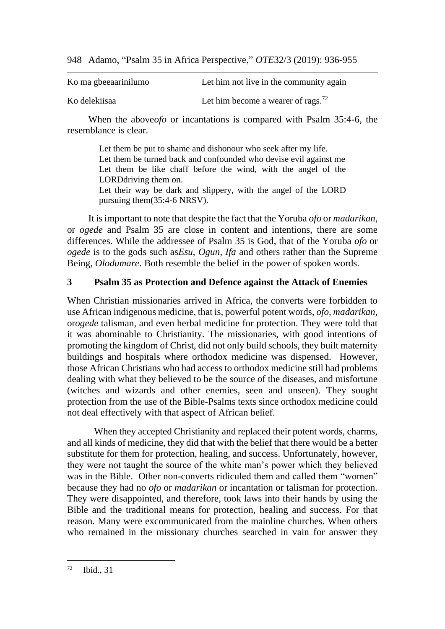| Ko ma gbeeaarinilumo | Let him not live in the community again        |
|----------------------|------------------------------------------------|
| Ko delekiisaa        | Let him become a wearer of rags. <sup>72</sup> |

When the above*ofo* or incantations is compared with Psalm 35:4-6, the resemblance is clear.

Let them be put to shame and dishonour who seek after my life. Let them be turned back and confounded who devise evil against me Let them be like chaff before the wind, with the angel of the LORDdriving them on. Let their way be dark and slippery, with the angel of the LORD pursuing them(35:4-6 NRSV).

It is important to note that despite the fact that the Yoruba *ofo* or *madarikan*, or *ogede* and Psalm 35 are close in content and intentions, there are some differences. While the addressee of Psalm 35 is God, that of the Yoruba *ofo* or *ogede* is to the gods such as*Esu*, *Ogun*, *Ifa* and others rather than the Supreme Being, *Olodumare*. Both resemble the belief in the power of spoken words.

## **3 Psalm 35 as Protection and Defence against the Attack of Enemies**

When Christian missionaries arrived in Africa, the converts were forbidden to use African indigenous medicine, that is, powerful potent words, *ofo, madarikan,*  or*ogede* talisman, and even herbal medicine for protection. They were told that it was abominable to Christianity. The missionaries, with good intentions of promoting the kingdom of Christ, did not only build schools, they built maternity buildings and hospitals where orthodox medicine was dispensed. However, those African Christians who had access to orthodox medicine still had problems dealing with what they believed to be the source of the diseases, and misfortune (witches and wizards and other enemies, seen and unseen). They sought protection from the use of the Bible-Psalms texts since orthodox medicine could not deal effectively with that aspect of African belief.

When they accepted Christianity and replaced their potent words, charms, and all kinds of medicine, they did that with the belief that there would be a better substitute for them for protection, healing, and success. Unfortunately, however, they were not taught the source of the white man's power which they believed was in the Bible. Other non-converts ridiculed them and called them "women" because they had no *ofo* or *madarikan* or incantation or talisman for protection. They were disappointed, and therefore, took laws into their hands by using the Bible and the traditional means for protection, healing and success. For that reason. Many were excommunicated from the mainline churches. When others who remained in the missionary churches searched in vain for answer they

 $72$  Ibid., 31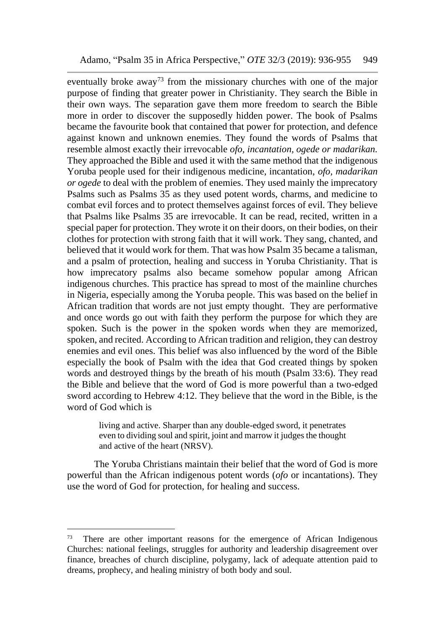eventually broke away<sup>73</sup> from the missionary churches with one of the major purpose of finding that greater power in Christianity. They search the Bible in their own ways. The separation gave them more freedom to search the Bible more in order to discover the supposedly hidden power. The book of Psalms became the favourite book that contained that power for protection, and defence against known and unknown enemies. They found the words of Psalms that resemble almost exactly their irrevocable *ofo, incantation, ogede or madarikan.* They approached the Bible and used it with the same method that the indigenous Yoruba people used for their indigenous medicine, incantation, *ofo, madarikan or ogede* to deal with the problem of enemies. They used mainly the imprecatory Psalms such as Psalms 35 as they used potent words, charms, and medicine to combat evil forces and to protect themselves against forces of evil. They believe that Psalms like Psalms 35 are irrevocable. It can be read, recited, written in a special paper for protection. They wrote it on their doors, on their bodies, on their clothes for protection with strong faith that it will work. They sang, chanted, and believed that it would work for them. That was how Psalm 35 became a talisman, and a psalm of protection, healing and success in Yoruba Christianity. That is how imprecatory psalms also became somehow popular among African indigenous churches. This practice has spread to most of the mainline churches in Nigeria, especially among the Yoruba people. This was based on the belief in African tradition that words are not just empty thought. They are performative and once words go out with faith they perform the purpose for which they are spoken. Such is the power in the spoken words when they are memorized, spoken, and recited. According to African tradition and religion, they can destroy enemies and evil ones. This belief was also influenced by the word of the Bible especially the book of Psalm with the idea that God created things by spoken words and destroyed things by the breath of his mouth (Psalm 33:6). They read the Bible and believe that the word of God is more powerful than a two-edged sword according to Hebrew 4:12. They believe that the word in the Bible, is the word of God which is

> living and active. Sharper than any double-edged sword, it penetrates even to dividing soul and spirit, joint and marrow it judges the thought and active of the heart (NRSV).

The Yoruba Christians maintain their belief that the word of God is more powerful than the African indigenous potent words (*ofo* or incantations). They use the word of God for protection, for healing and success.

<sup>&</sup>lt;sup>73</sup> There are other important reasons for the emergence of African Indigenous Churches: national feelings, struggles for authority and leadership disagreement over finance, breaches of church discipline, polygamy, lack of adequate attention paid to dreams, prophecy, and healing ministry of both body and soul.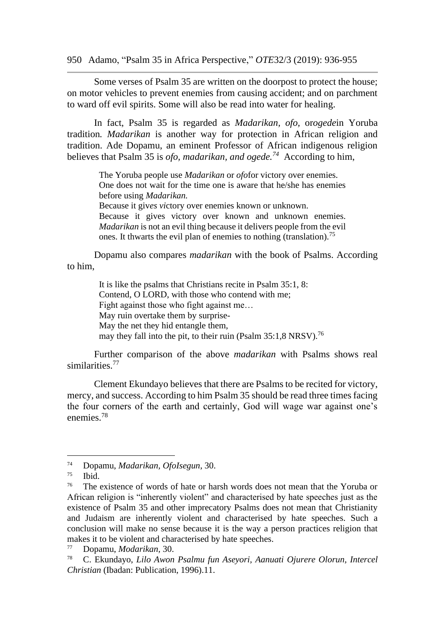Some verses of Psalm 35 are written on the doorpost to protect the house; on motor vehicles to prevent enemies from causing accident; and on parchment to ward off evil spirits. Some will also be read into water for healing.

In fact, Psalm 35 is regarded as *Madarikan, ofo,* or*ogede*in Yoruba tradition*. Madarikan* is another way for protection in African religion and tradition. Ade Dopamu, an eminent Professor of African indigenous religion believes that Psalm 35 is *ofo, madarikan, and ogede.<sup>74</sup>* According to him,

> The Yoruba people use *Madarikan* or *ofo*for victory over enemies. One does not wait for the time one is aware that he/she has enemies before using *Madarikan.*

> Because it giv*es vi*ctory over enemies known or unknown. Because it gives victory over known and unknown enemies. *Madarikan* is not an evil thing because it delivers people from the evil ones. It thwarts the evil plan of enemies to nothing (translation).<sup>75</sup>

Dopamu also compares *madarikan* with the book of Psalms. According to him,

> It is like the psalms that Christians recite in Psalm 35:1, 8: Contend, O LORD, with those who contend with me; Fight against those who fight against me… May ruin overtake them by surprise-May the net they hid entangle them, may they fall into the pit, to their ruin (Psalm 35:1,8 NRSV).<sup>76</sup>

Further comparison of the above *madarikan* with Psalms shows real similarities<sup>77</sup>

Clement Ekundayo believes that there are Psalms to be recited for victory, mercy, and success. According to him Psalm 35 should be read three times facing the four corners of the earth and certainly, God will wage war against one's enemies.<sup>78</sup>

<sup>74</sup> Dopamu, *Madarikan, OfoIsegun*, 30.

 $75$  Ibid.

<sup>&</sup>lt;sup>76</sup> The existence of words of hate or harsh words does not mean that the Yoruba or African religion is "inherently violent" and characterised by hate speeches just as the existence of Psalm 35 and other imprecatory Psalms does not mean that Christianity and Judaism are inherently violent and characterised by hate speeches. Such a conclusion will make no sense because it is the way a person practices religion that makes it to be violent and characterised by hate speeches.

<sup>77</sup> Dopamu, *Modarikan,* 30.

<sup>78</sup> C. Ekundayo, *Lilo Awon Psalmu fun Aseyori, Aanuati Ojurere Olorun, Intercel Christian* (Ibadan: Publication, 1996).11.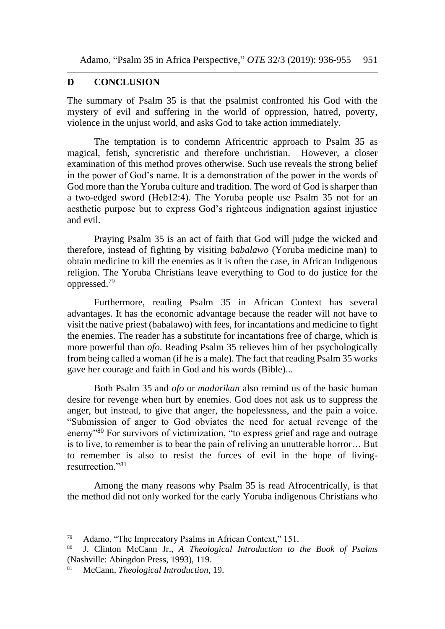## **D CONCLUSION**

The summary of Psalm 35 is that the psalmist confronted his God with the mystery of evil and suffering in the world of oppression, hatred, poverty, violence in the unjust world, and asks God to take action immediately.

The temptation is to condemn Africentric approach to Psalm 35 as magical, fetish, syncretistic and therefore unchristian. However, a closer examination of this method proves otherwise. Such use reveals the strong belief in the power of God's name. It is a demonstration of the power in the words of God more than the Yoruba culture and tradition. The word of God is sharper than a two-edged sword (Heb12:4). The Yoruba people use Psalm 35 not for an aesthetic purpose but to express God's righteous indignation against injustice and evil.

Praying Psalm 35 is an act of faith that God will judge the wicked and therefore, instead of fighting by visiting *babalawo* (Yoruba medicine man) to obtain medicine to kill the enemies as it is often the case, in African Indigenous religion. The Yoruba Christians leave everything to God to do justice for the oppressed.<sup>79</sup>

Furthermore, reading Psalm 35 in African Context has several advantages. It has the economic advantage because the reader will not have to visit the native priest (babalawo) with fees, for incantations and medicine to fight the enemies. The reader has a substitute for incantations free of charge, which is more powerful than *ofo*. Reading Psalm 35 relieves him of her psychologically from being called a woman (if he is a male). The fact that reading Psalm 35 works gave her courage and faith in God and his words (Bible)...

Both Psalm 35 and *ofo* or *madarikan* also remind us of the basic human desire for revenge when hurt by enemies. God does not ask us to suppress the anger, but instead, to give that anger, the hopelessness, and the pain a voice. "Submission of anger to God obviates the need for actual revenge of the enemy"<sup>80</sup> For survivors of victimization, "to express grief and rage and outrage is to live, to remember is to bear the pain of reliving an unutterable horror… But to remember is also to resist the forces of evil in the hope of livingresurrection."<sup>81</sup>

Among the many reasons why Psalm 35 is read Afrocentrically, is that the method did not only worked for the early Yoruba indigenous Christians who

<sup>79</sup> Adamo, "The Imprecatory Psalms in African Context," 151.

<sup>80</sup> J. Clinton McCann Jr., *A Theological Introduction to the Book of Psalms* (Nashville: Abingdon Press, 1993), 119.

<sup>81</sup> McCann, *Theological Introduction*, 19.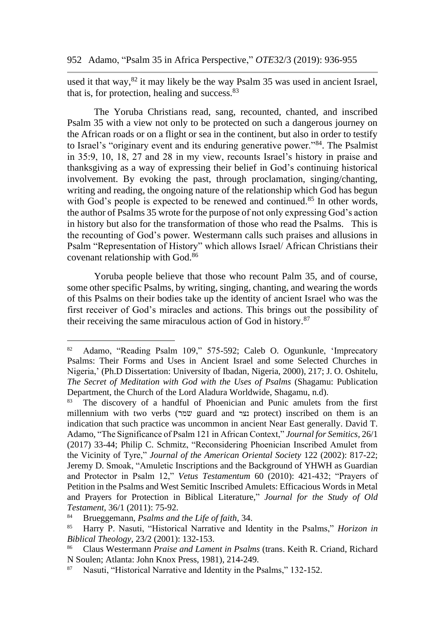used it that way,<sup>82</sup> it may likely be the way Psalm 35 was used in ancient Israel, that is, for protection, healing and success.<sup>83</sup>

The Yoruba Christians read, sang, recounted, chanted, and inscribed Psalm 35 with a view not only to be protected on such a dangerous journey on the African roads or on a flight or sea in the continent, but also in order to testify to Israel's "originary event and its enduring generative power."<sup>84</sup>. The Psalmist in 35:9, 10, 18, 27 and 28 in my view, recounts Israel's history in praise and thanksgiving as a way of expressing their belief in God's continuing historical involvement. By evoking the past, through proclamation, singing/chanting, writing and reading, the ongoing nature of the relationship which God has begun with God's people is expected to be renewed and continued.<sup>85</sup> In other words, the author of Psalms 35 wrote for the purpose of not only expressing God's action in history but also for the transformation of those who read the Psalms. This is the recounting of God's power*.* Westermann calls such praises and allusions in Psalm "Representation of History" which allows Israel/ African Christians their covenant relationship with God.<sup>86</sup>

Yoruba people believe that those who recount Palm 35, and of course, some other specific Psalms, by writing, singing, chanting, and wearing the words of this Psalms on their bodies take up the identity of ancient Israel who was the first receiver of God's miracles and actions. This brings out the possibility of their receiving the same miraculous action of God in history.<sup>87</sup>

<sup>82</sup> Adamo, "Reading Psalm 109," 575-592; Caleb O. Ogunkunle, 'Imprecatory Psalms: Their Forms and Uses in Ancient Israel and some Selected Churches in Nigeria,' (Ph.D Dissertation: University of Ibadan, Nigeria, 2000), 217; J. O. Oshitelu, *The Secret of Meditation with God with the Uses of Psalms* (Shagamu: Publication Department, the Church of the Lord Aladura Worldwide, Shagamu, n.d).

<sup>83</sup> The discovery of a handful of Phoenician and Punic amulets from the first millennium with two verbs (שמר guard and נצר protect) inscribed on them is an indication that such practice was uncommon in ancient Near East generally. David T. Adamo, "The Significance of Psalm 121 in African Context," *Journal for Semitics,* 26/1 (2017) 33-44; Philip C. Schmitz, "Reconsidering Phoenician Inscribed Amulet from the Vicinity of Tyre," *Journal of the American Oriental Society* 122 (2002): 817-22; Jeremy D. Smoak, "Amuletic Inscriptions and the Background of YHWH as Guardian and Protector in Psalm 12," *Vetus Testamentum* 60 (2010): 421-432; "Prayers of Petition in the Psalms and West Semitic Inscribed Amulets: Efficacious Words in Metal and Prayers for Protection in Biblical Literature," *Journal for the Study of Old Testament,* 36/1 (2011): 75-92.

<sup>&</sup>lt;sup>84</sup> Brueggemann, *Psalms and the Life of faith*, 34.<br><sup>85</sup> Harry P. Nasuti. "Historical Narrative and Ide

<sup>85</sup> Harry P. Nasuti, "Historical Narrative and Identity in the Psalms," *Horizon in Biblical Theology,* 23/2 (2001): 132-153.

<sup>86</sup> Claus Westermann *Praise and Lament in Psalms* (trans. Keith R. Criand, Richard N Soulen; Atlanta: John Knox Press, 1981), 214-249.

Nasuti, "Historical Narrative and Identity in the Psalms," 132-152.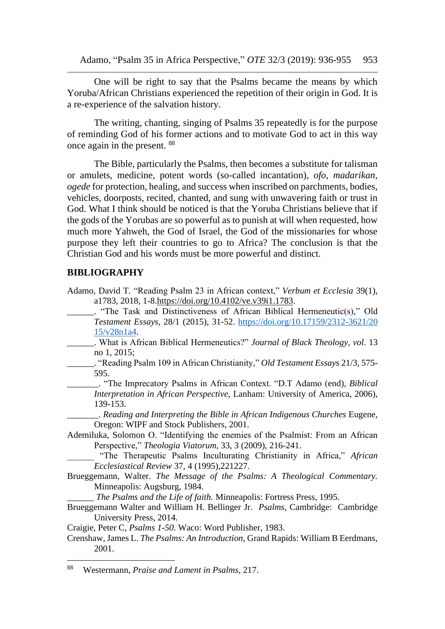One will be right to say that the Psalms became the means by which Yoruba/African Christians experienced the repetition of their origin in God. It is a re-experience of the salvation history.

The writing, chanting, singing of Psalms 35 repeatedly is for the purpose of reminding God of his former actions and to motivate God to act in this way once again in the present. <sup>88</sup>

The Bible, particularly the Psalms, then becomes a substitute for talisman or amulets, medicine, potent words (so-called incantation), *ofo, madarikan, ogede* for protection, healing, and success when inscribed on parchments, bodies, vehicles, doorposts, recited, chanted, and sung with unwavering faith or trust in God. What I think should be noticed is that the Yoruba Christians believe that if the gods of the Yorubas are so powerful as to punish at will when requested, how much more Yahweh, the God of Israel, the God of the missionaries for whose purpose they left their countries to go to Africa? The conclusion is that the Christian God and his words must be more powerful and distinct.

#### **BIBLIOGRAPHY**

- Adamo, David T. "Reading Psalm 23 in African context," *Verbum et Ecclesia* 39(1), a1783, 2018, 1-8[.https://doi.org/10.4102/ve.v39i1.1783.](https://doi.org/10.4102/ve.v39i1.1783)
	- \_\_\_\_\_\_. "The Task and Distinctiveness of African Biblical Hermeneutic(s)," Old *Testament Essays*, 28/1 (2015), 31-52. [https://doi.org/10.17159/2312-3621/20](https://doi.org/10.17159/2312-3621/20%2015/v28n1a4)  [15/v28n1a4.](https://doi.org/10.17159/2312-3621/20%2015/v28n1a4)
- \_\_\_\_\_\_. What is African Biblical Hermeneutics?" *Journal of Black Theology, vol*. 13 no 1, 2015;
	- \_\_\_\_\_\_. "Reading Psalm 109 in African Christianity," *Old Testament Essays* 21/3, 575- 595.
		- \_\_\_\_\_\_\_. "The Imprecatory Psalms in African Context. "D.T Adamo (end), *Biblical Interpretation in African Perspective,* Lanham: University of America, 2006), 139-153.

\_\_\_\_\_\_\_. *Reading and Interpreting the Bible in African Indigenous Churches* Eugene, Oregon: WIPF and Stock Publishers, 2001.

- Ademiluka, Solomon O. "Identifying the enemies of the Psalmist: From an African Perspective," *Theologia Viatorum,* 33, 3 (2009), 216-241.
	- \_\_\_\_\_\_ "The Therapeutic Psalms Inculturating Christianity in Africa," *African Ecclesiastical Review* 37, 4 (1995),221227.
- Brueggemann, Walter. *The Message of the Psalms: A Theological Commentary.*  Minneapolis: Augsburg, 1984.

\_\_\_\_\_\_ *The Psalms and the Life of faith.* Minneapolis: Fortress Press, 1995.

Brueggemann Walter and William H. Bellinger Jr. *Psalms*, Cambridge: Cambridge University Press, 2014.

Craigie, Peter C, *Psalms 1-50*. Waco: Word Publisher, 1983.

Crenshaw, James L. *The Psalms: An Introduction,* Grand Rapids: William B Eerdmans, 2001.

<sup>88</sup> Westermann, *Praise and Lament in Psalms*, 217.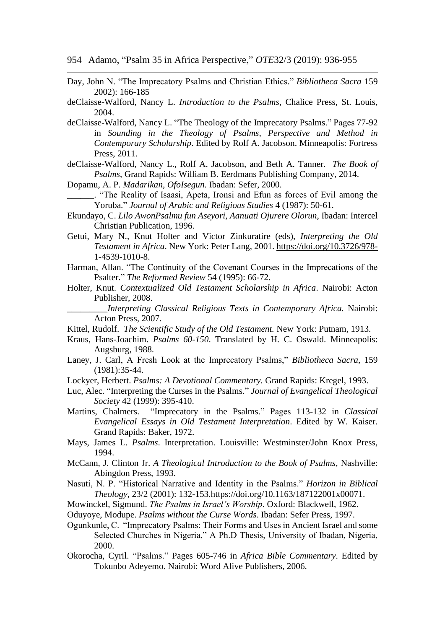954 Adamo, "Psalm 35 in Africa Perspective," *OTE*32/3 (2019): 936-955

- Day, John N. "The Imprecatory Psalms and Christian Ethics." *Bibliotheca Sacra* 159 2002): 166-185
- deClaisse-Walford, Nancy L. *Introduction to the Psalms,* Chalice Press, St. Louis, 2004.
- deClaisse-Walford, Nancy L. "The Theology of the Imprecatory Psalms." Pages 77-92 in *Sounding in the Theology of Psalms, Perspective and Method in Contemporary Scholarship*. Edited by Rolf A. Jacobson. Minneapolis: Fortress Press, 2011.
- deClaisse-Walford, Nancy L., Rolf A. Jacobson, and Beth A. Tanner. *The Book of Psalms*, Grand Rapids: William B. Eerdmans Publishing Company, 2014.

Dopamu, A. P. *Madarikan, OfoIsegun.* Ibadan: Sefer, 2000.

- \_\_\_\_\_\_. "The Reality of Isaasi, Apeta, Ironsi and Efun as forces of Evil among the Yoruba." *Journal of Arabic and Religious Studies* 4 (1987): 50-61.
- Ekundayo, C. *Lilo AwonPsalmu fun Aseyori, Aanuati Ojurere Olorun*, Ibadan: Intercel Christian Publication, 1996.
- Getui, Mary N., Knut Holter and Victor Zinkuratire (eds), *Interpreting the Old Testament in Africa*. New York: Peter Lang, 2001. [https://doi.org/10.3726/978-](https://doi.org/10.3726/978-1-4539-1010-8) [1-4539-1010-8.](https://doi.org/10.3726/978-1-4539-1010-8)
- Harman, Allan. "The Continuity of the Covenant Courses in the Imprecations of the Psalter." *The Reformed Review* 54 (1995): 66-72.
- Holter, Knut. *Contextualized Old Testament Scholarship in Africa*. Nairobi: Acton Publisher, 2008.
	- \_\_\_\_\_\_\_\_\_*Interpreting Classical Religious Texts in Contemporary Africa.* Nairobi: Acton Press, 2007.

Kittel, Rudolf. *The Scientific Study of the Old Testament.* New York: Putnam, 1913.

- Kraus, Hans-Joachim. *Psalms 60-150*. Translated by H. C. Oswald. Minneapolis: Augsburg, 1988.
- Laney, J. Carl, A Fresh Look at the Imprecatory Psalms," *Bibliotheca Sacra*, 159 (1981):35-44.
- Lockyer, Herbert. *Psalms: A Devotional Commentary.* Grand Rapids: Kregel, 1993.
- Luc, Alec. "Interpreting the Curses in the Psalms." *Journal of Evangelical Theological Society* 42 (1999): 395-410.
- Martins, Chalmers. "Imprecatory in the Psalms." Pages 113-132 in *Classical Evangelical Essays in Old Testament Interpretation*. Edited by W. Kaiser. Grand Rapids: Baker, 1972.
- Mays, James L. *Psalms*. Interpretation. Louisville: Westminster/John Knox Press, 1994.
- McCann, J. Clinton Jr. *A Theological Introduction to the Book of Psalms*, Nashville: Abingdon Press, 1993.
- Nasuti, N. P. "Historical Narrative and Identity in the Psalms." *Horizon in Biblical Theology,* 23/2 (2001): 132-153[.https://doi.org/10.1163/187122001x00071.](https://doi.org/10.1163/187122001x00071)
- Mowinckel, Sigmund. *The Psalms in Israel's Worship*. Oxford: Blackwell, 1962.
- Oduyoye, Modupe. *Psalms without the Curse Words*. Ibadan: Sefer Press, 1997.
- Ogunkunle, C. "Imprecatory Psalms: Their Forms and Uses in Ancient Israel and some Selected Churches in Nigeria," A Ph.D Thesis, University of Ibadan, Nigeria, 2000.
- Okorocha, Cyril. "Psalms." Pages 605-746 in *Africa Bible Commentary*. Edited by Tokunbo Adeyemo. Nairobi: Word Alive Publishers, 2006.